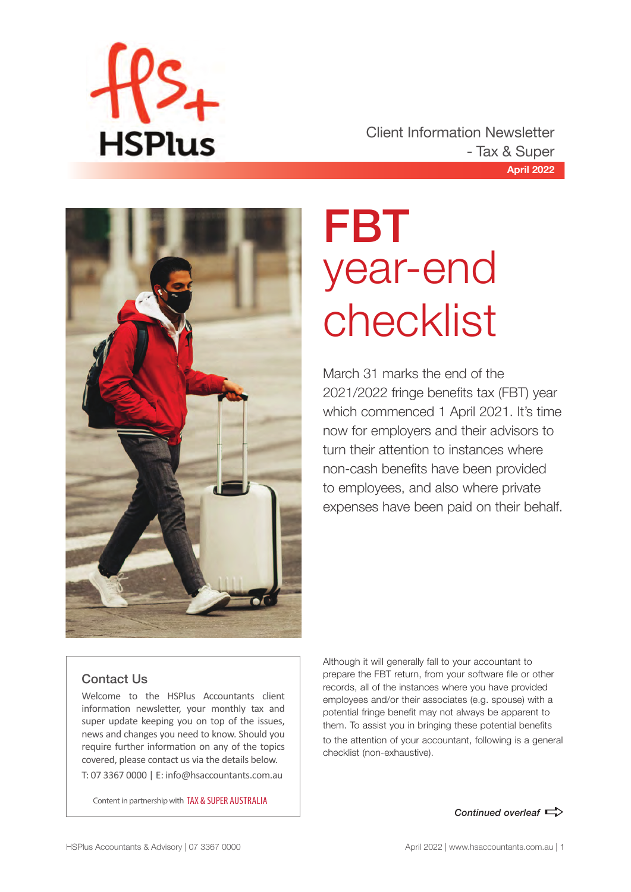

**April 2022** Client Information Newsletter - Tax & Super



## FBT year-end checklist

March 31 marks the end of the 2021/2022 fringe benefits tax (FBT) year which commenced 1 April 2021. It's time now for employers and their advisors to turn their attention to instances where non-cash benefits have been provided to employees, and also where private expenses have been paid on their behalf.

#### Contact Us

Welcome to the HSPlus Accountants client information newsletter, your monthly tax and super update keeping you on top of the issues, news and changes you need to know. Should you require further information on any of the topics covered, please contact us via the details below. T: 07 3367 0000 | E: info@hsaccountants.com.au

Content in partnership with TAX & SUPER AUSTRALIA

Although it will generally fall to your accountant to prepare the FBT return, from your software file or other records, all of the instances where you have provided employees and/or their associates (e.g. spouse) with a potential fringe benefit may not always be apparent to them. To assist you in bringing these potential benefits to the attention of your accountant, following is a general checklist (non-exhaustive).

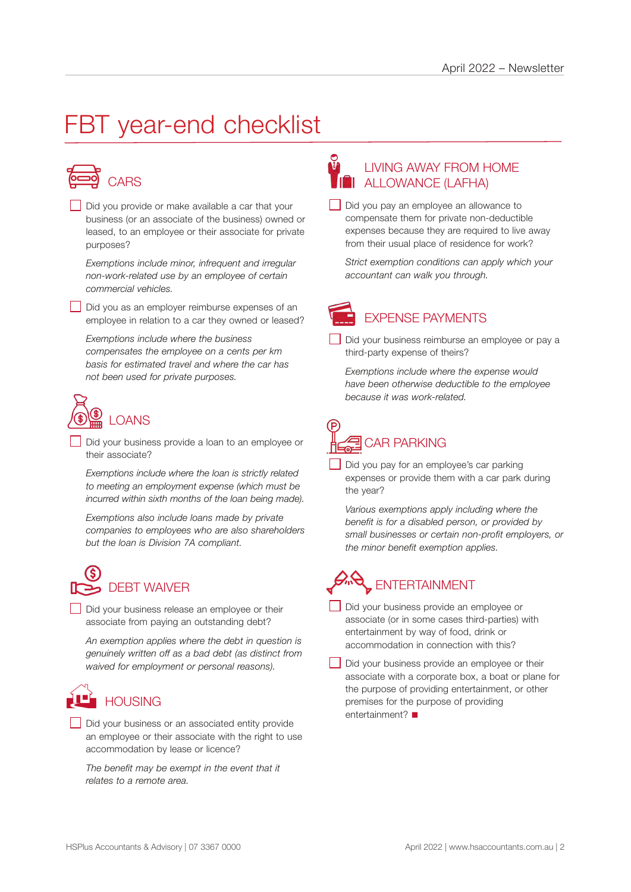### FBT year-end checklist



Did you provide or make available a car that your business (or an associate of the business) owned or leased, to an employee or their associate for private purposes?

*Exemptions include minor, infrequent and irregular non-work-related use by an employee of certain commercial vehicles.*

Did you as an employer reimburse expenses of an employee in relation to a car they owned or leased?

*Exemptions include where the business compensates the employee on a cents per km basis for estimated travel and where the car has not been used for private purposes.*



Did your business provide a loan to an employee or their associate?

*Exemptions include where the loan is strictly related to meeting an employment expense (which must be incurred within sixth months of the loan being made).*

*Exemptions also include loans made by private companies to employees who are also shareholders but the loan is Division 7A compliant.*



Did your business release an employee or their associate from paying an outstanding debt?

*An exemption applies where the debt in question is genuinely written off as a bad debt (as distinct from waived for employment or personal reasons).*

### **HOUSING**

Did your business or an associated entity provide an employee or their associate with the right to use accommodation by lease or licence?

*The benefit may be exempt in the event that it relates to a remote area.*

#### LIVING AWAY FROM HOME **THE ALLOWANCE (LAFHA)**

Did you pay an employee an allowance to compensate them for private non-deductible expenses because they are required to live away from their usual place of residence for work?

*Strict exemption conditions can apply which your accountant can walk you through.*



Did your business reimburse an employee or pay a third-party expense of theirs?

*Exemptions include where the expense would have been otherwise deductible to the employee because it was work-related.*

## CAR PARKING

Did you pay for an employee's car parking expenses or provide them with a car park during the year?

*Various exemptions apply including where the benefit is for a disabled person, or provided by small businesses or certain non-profit employers, or the minor benefit exemption applies.*

### ENTERTAINMENT

- Did your business provide an employee or associate (or in some cases third-parties) with entertainment by way of food, drink or accommodation in connection with this?
- Did your business provide an employee or their associate with a corporate box, a boat or plane for the purpose of providing entertainment, or other premises for the purpose of providing entertainment? $\blacksquare$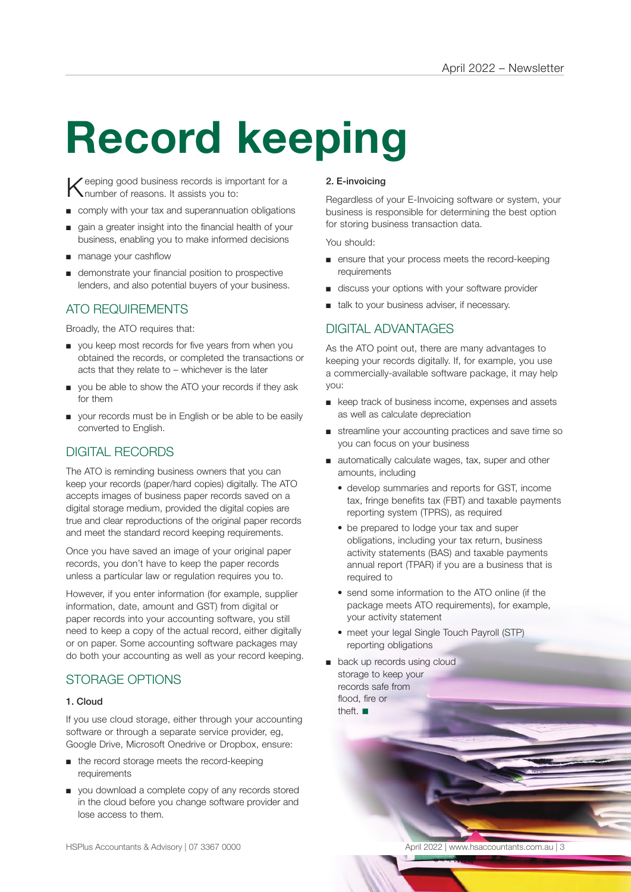# **Record keeping**

Keeping good business records is important for a humber of reasons. It assists you to:

- comply with your tax and superannuation obligations
- gain a greater insight into the financial health of your business, enabling you to make informed decisions
- manage your cashflow
- demonstrate your financial position to prospective lenders, and also potential buyers of your business.

#### ATO REQUIREMENTS

Broadly, the ATO requires that:

- you keep most records for five years from when you obtained the records, or completed the transactions or acts that they relate to – whichever is the later
- you be able to show the ATO your records if they ask for them
- your records must be in English or be able to be easily converted to English.

#### DIGITAL RECORDS

The ATO is reminding business owners that you can keep your records (paper/hard copies) digitally. The ATO accepts images of business paper records saved on a digital storage medium, provided the digital copies are true and clear reproductions of the original paper records and meet the standard record keeping requirements.

Once you have saved an image of your original paper records, you don't have to keep the paper records unless a particular law or regulation requires you to.

However, if you enter information (for example, supplier information, date, amount and GST) from digital or paper records into your accounting software, you still need to keep a copy of the actual record, either digitally or on paper. Some accounting software packages may do both your accounting as well as your record keeping.

#### STORAGE OPTIONS

#### 1. Cloud

If you use cloud storage, either through your accounting software or through a separate service provider, eg, Google Drive, Microsoft Onedrive or Dropbox, ensure:

- the record storage meets the record-keeping requirements
- you download a complete copy of any records stored in the cloud before you change software provider and lose access to them.

#### 2. E-invoicing

Regardless of your E-Invoicing software or system, your business is responsible for determining the best option for storing business transaction data.

You should:

- ensure that your process meets the record-keeping requirements
- discuss your options with your software provider
- talk to your business adviser, if necessary.

#### DIGITAL ADVANTAGES

As the ATO point out, there are many advantages to keeping your records digitally. If, for example, you use a commercially-available software package, it may help you:

- keep track of business income, expenses and assets as well as calculate depreciation
- streamline your accounting practices and save time so you can focus on your business
- automatically calculate wages, tax, super and other amounts, including
	- develop summaries and reports for GST, income tax, fringe benefits tax (FBT) and taxable payments reporting system (TPRS), as required
	- be prepared to lodge your tax and super obligations, including your tax return, business activity statements (BAS) and taxable payments annual report (TPAR) if you are a business that is required to
	- send some information to the ATO online (if the package meets ATO requirements), for example, your activity statement
	- meet your legal Single Touch Payroll (STP) reporting obligations
- back up records using cloud storage to keep your records safe from flood, fire or theft.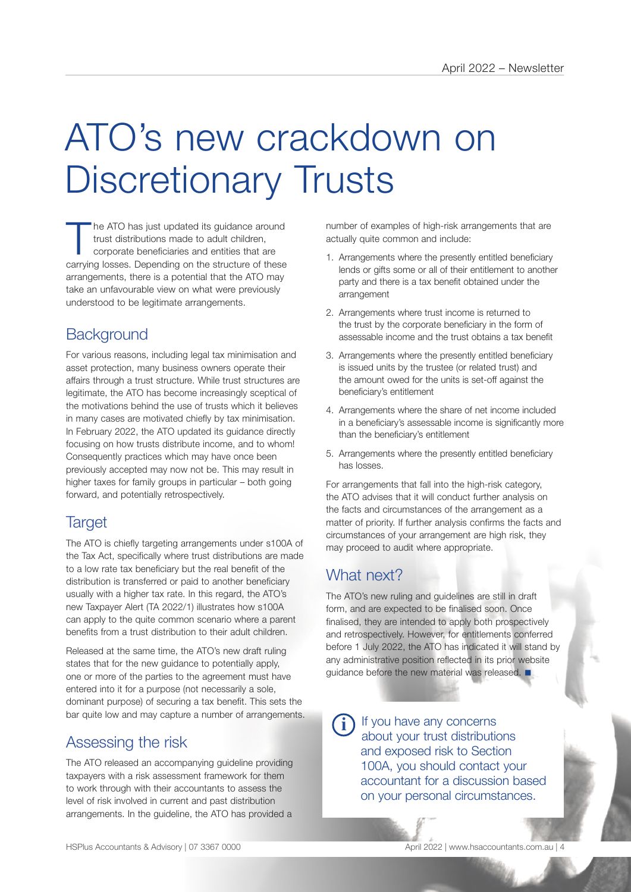## ATO's new crackdown on Discretionary Trusts

he ATO has just updated its guidance around trust distributions made to adult children, corporate beneficiaries and entities that are carrying losses. Depending on the structure of these arrangements, there is a potential that the ATO may take an unfavourable view on what were previously understood to be legitimate arrangements.

#### **Background**

For various reasons, including legal tax minimisation and asset protection, many business owners operate their affairs through a trust structure. While trust structures are legitimate, the ATO has become increasingly sceptical of the motivations behind the use of trusts which it believes in many cases are motivated chiefly by tax minimisation. In February 2022, the ATO updated its guidance directly focusing on how trusts distribute income, and to whom! Consequently practices which may have once been previously accepted may now not be. This may result in higher taxes for family groups in particular – both going forward, and potentially retrospectively.

#### **Target**

The ATO is chiefly targeting arrangements under s100A of the Tax Act, specifically where trust distributions are made to a low rate tax beneficiary but the real benefit of the distribution is transferred or paid to another beneficiary usually with a higher tax rate. In this regard, the ATO's new Taxpayer Alert (TA 2022/1) illustrates how s100A can apply to the quite common scenario where a parent benefits from a trust distribution to their adult children.

Released at the same time, the ATO's new draft ruling states that for the new guidance to potentially apply, one or more of the parties to the agreement must have entered into it for a purpose (not necessarily a sole, dominant purpose) of securing a tax benefit. This sets the bar quite low and may capture a number of arrangements.

#### Assessing the risk

The ATO released an accompanying guideline providing taxpayers with a risk assessment framework for them to work through with their accountants to assess the level of risk involved in current and past distribution arrangements. In the guideline, the ATO has provided a

number of examples of high-risk arrangements that are actually quite common and include:

- 1. Arrangements where the presently entitled beneficiary lends or gifts some or all of their entitlement to another party and there is a tax benefit obtained under the arrangement
- 2. Arrangements where trust income is returned to the trust by the corporate beneficiary in the form of assessable income and the trust obtains a tax benefit
- 3. Arrangements where the presently entitled beneficiary is issued units by the trustee (or related trust) and the amount owed for the units is set-off against the beneficiary's entitlement
- 4. Arrangements where the share of net income included in a beneficiary's assessable income is significantly more than the beneficiary's entitlement
- 5. Arrangements where the presently entitled beneficiary has losses.

For arrangements that fall into the high-risk category, the ATO advises that it will conduct further analysis on the facts and circumstances of the arrangement as a matter of priority. If further analysis confirms the facts and circumstances of your arrangement are high risk, they may proceed to audit where appropriate.

#### What next?

The ATO's new ruling and guidelines are still in draft form, and are expected to be finalised soon. Once finalised, they are intended to apply both prospectively and retrospectively. However, for entitlements conferred before 1 July 2022, the ATO has indicated it will stand by any administrative position reflected in its prior website quidance before the new material was released.  $\blacksquare$ 

If you have any concerns about your trust distributions and exposed risk to Section 100A, you should contact your accountant for a discussion based on your personal circumstances. **i**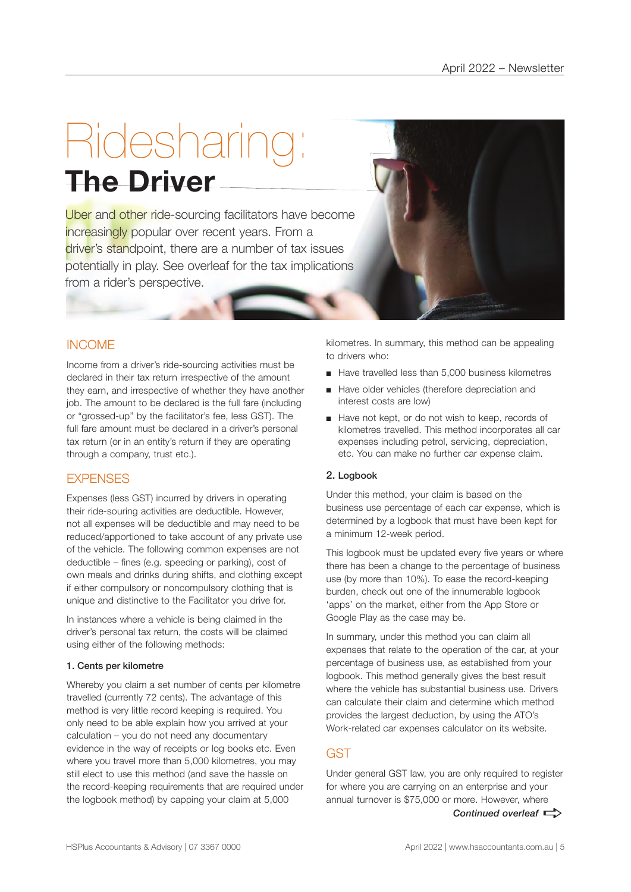## Ridesharing: **The Driver**

Uber and other ride-sourcing facilitators have become increasingly popular over recent years. From a driver's standpoint, there are a number of tax issues potentially in play. See overleaf for the tax implications from a rider's perspective.

#### INCOME

Income from a driver's ride-sourcing activities must be declared in their tax return irrespective of the amount they earn, and irrespective of whether they have another job. The amount to be declared is the full fare (including or "grossed-up" by the facilitator's fee, less GST). The full fare amount must be declared in a driver's personal tax return (or in an entity's return if they are operating through a company, trust etc.).

#### **EXPENSES**

Expenses (less GST) incurred by drivers in operating their ride-souring activities are deductible. However, not all expenses will be deductible and may need to be reduced/apportioned to take account of any private use of the vehicle. The following common expenses are not deductible – fines (e.g. speeding or parking), cost of own meals and drinks during shifts, and clothing except if either compulsory or noncompulsory clothing that is unique and distinctive to the Facilitator you drive for.

In instances where a vehicle is being claimed in the driver's personal tax return, the costs will be claimed using either of the following methods:

#### 1. Cents per kilometre

Whereby you claim a set number of cents per kilometre travelled (currently 72 cents). The advantage of this method is very little record keeping is required. You only need to be able explain how you arrived at your calculation – you do not need any documentary evidence in the way of receipts or log books etc. Even where you travel more than 5,000 kilometres, you may still elect to use this method (and save the hassle on the record-keeping requirements that are required under the logbook method) by capping your claim at 5,000

kilometres. In summary, this method can be appealing to drivers who:

- Have travelled less than 5,000 business kilometres
- Have older vehicles (therefore depreciation and interest costs are low)
- Have not kept, or do not wish to keep, records of kilometres travelled. This method incorporates all car expenses including petrol, servicing, depreciation, etc. You can make no further car expense claim.

#### 2. Logbook

Under this method, your claim is based on the business use percentage of each car expense, which is determined by a logbook that must have been kept for a minimum 12-week period.

This logbook must be updated every five years or where there has been a change to the percentage of business use (by more than 10%). To ease the record-keeping burden, check out one of the innumerable logbook 'apps' on the market, either from the App Store or Google Play as the case may be.

In summary, under this method you can claim all expenses that relate to the operation of the car, at your percentage of business use, as established from your logbook. This method generally gives the best result where the vehicle has substantial business use. Drivers can calculate their claim and determine which method provides the largest deduction, by using the ATO's Work-related car expenses calculator on its website.

#### GST

*Continued overleaf*  $\Rightarrow$ Under general GST law, you are only required to register for where you are carrying on an enterprise and your annual turnover is \$75,000 or more. However, where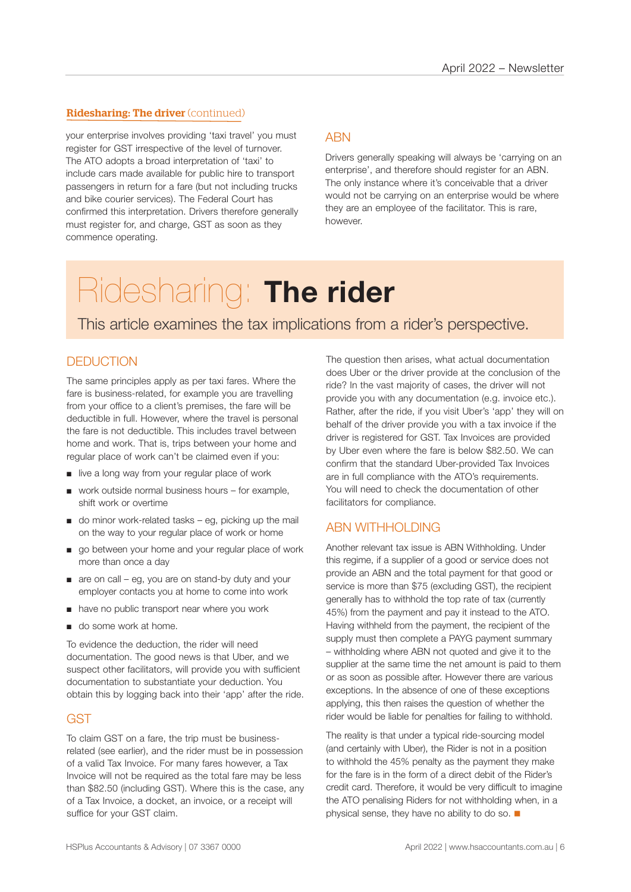#### Ridesharing: The driver (continued)

your enterprise involves providing 'taxi travel' you must register for GST irrespective of the level of turnover. The ATO adopts a broad interpretation of 'taxi' to include cars made available for public hire to transport passengers in return for a fare (but not including trucks and bike courier services). The Federal Court has confirmed this interpretation. Drivers therefore generally must register for, and charge, GST as soon as they commence operating.

#### **ARN**

Drivers generally speaking will always be 'carrying on an enterprise', and therefore should register for an ABN. The only instance where it's conceivable that a driver would not be carrying on an enterprise would be where they are an employee of the facilitator. This is rare, however.

### Ridesharing: **The rider**

This article examines the tax implications from a rider's perspective.

#### **DEDUCTION**

The same principles apply as per taxi fares. Where the fare is business-related, for example you are travelling from your office to a client's premises, the fare will be deductible in full. However, where the travel is personal the fare is not deductible. This includes travel between home and work. That is, trips between your home and regular place of work can't be claimed even if you:

- live a long way from your regular place of work
- work outside normal business hours for example, shift work or overtime
- $\Box$  do minor work-related tasks eq, picking up the mail on the way to your regular place of work or home
- go between your home and your regular place of work more than once a day
- are on call eg, you are on stand-by duty and your employer contacts you at home to come into work
- have no public transport near where you work
- do some work at home.

To evidence the deduction, the rider will need documentation. The good news is that Uber, and we suspect other facilitators, will provide you with sufficient documentation to substantiate your deduction. You obtain this by logging back into their 'app' after the ride.

#### **GST**

To claim GST on a fare, the trip must be businessrelated (see earlier), and the rider must be in possession of a valid Tax Invoice. For many fares however, a Tax Invoice will not be required as the total fare may be less than \$82.50 (including GST). Where this is the case, any of a Tax Invoice, a docket, an invoice, or a receipt will suffice for your GST claim.

The question then arises, what actual documentation does Uber or the driver provide at the conclusion of the ride? In the vast majority of cases, the driver will not provide you with any documentation (e.g. invoice etc.). Rather, after the ride, if you visit Uber's 'app' they will on behalf of the driver provide you with a tax invoice if the driver is registered for GST. Tax Invoices are provided by Uber even where the fare is below \$82.50. We can confirm that the standard Uber-provided Tax Invoices are in full compliance with the ATO's requirements. You will need to check the documentation of other facilitators for compliance.

#### ABN WITHHOLDING

Another relevant tax issue is ABN Withholding. Under this regime, if a supplier of a good or service does not provide an ABN and the total payment for that good or service is more than \$75 (excluding GST), the recipient generally has to withhold the top rate of tax (currently 45%) from the payment and pay it instead to the ATO. Having withheld from the payment, the recipient of the supply must then complete a PAYG payment summary – withholding where ABN not quoted and give it to the supplier at the same time the net amount is paid to them or as soon as possible after. However there are various exceptions. In the absence of one of these exceptions applying, this then raises the question of whether the rider would be liable for penalties for failing to withhold.

The reality is that under a typical ride-sourcing model (and certainly with Uber), the Rider is not in a position to withhold the 45% penalty as the payment they make for the fare is in the form of a direct debit of the Rider's credit card. Therefore, it would be very difficult to imagine the ATO penalising Riders for not withholding when, in a physical sense, they have no ability to do so.  $\blacksquare$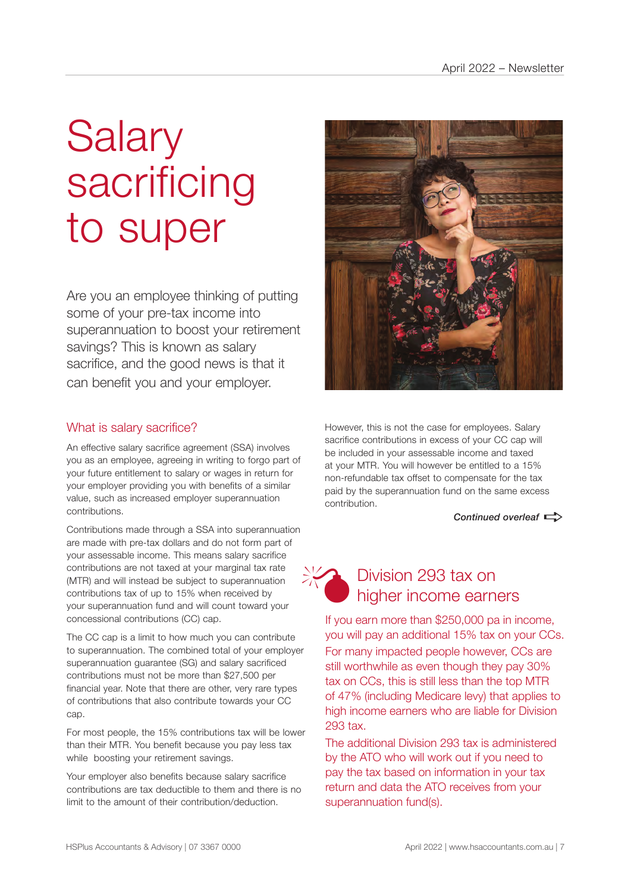## **Salary** sacrificing to super

Are you an employee thinking of putting some of your pre-tax income into superannuation to boost your retirement savings? This is known as salary sacrifice, and the good news is that it can benefit you and your employer.

#### What is salary sacrifice?

An effective salary sacrifice agreement (SSA) involves you as an employee, agreeing in writing to forgo part of your future entitlement to salary or wages in return for your employer providing you with benefits of a similar value, such as increased employer superannuation contributions.

Contributions made through a SSA into superannuation are made with pre-tax dollars and do not form part of your assessable income. This means salary sacrifice contributions are not taxed at your marginal tax rate (MTR) and will instead be subject to superannuation contributions tax of up to 15% when received by your superannuation fund and will count toward your concessional contributions (CC) cap.

The CC cap is a limit to how much you can contribute to superannuation. The combined total of your employer superannuation guarantee (SG) and salary sacrificed contributions must not be more than \$27,500 per financial year. Note that there are other, very rare types of contributions that also contribute towards your CC cap.

For most people, the 15% contributions tax will be lower than their MTR. You benefit because you pay less tax while boosting your retirement savings.

Your employer also benefits because salary sacrifice contributions are tax deductible to them and there is no limit to the amount of their contribution/deduction.



However, this is not the case for employees. Salary sacrifice contributions in excess of your CC cap will be included in your assessable income and taxed at your MTR. You will however be entitled to a 15% non-refundable tax offset to compensate for the tax paid by the superannuation fund on the same excess contribution.

*Continued overleaf* 



#### Division 293 tax on higher income earners

If you earn more than \$250,000 pa in income, you will pay an additional 15% tax on your CCs. For many impacted people however, CCs are still worthwhile as even though they pay 30% tax on CCs, this is still less than the top MTR of 47% (including Medicare levy) that applies to high income earners who are liable for Division 293 tax.

The additional Division 293 tax is administered by the ATO who will work out if you need to pay the tax based on information in your tax return and data the ATO receives from your superannuation fund(s).